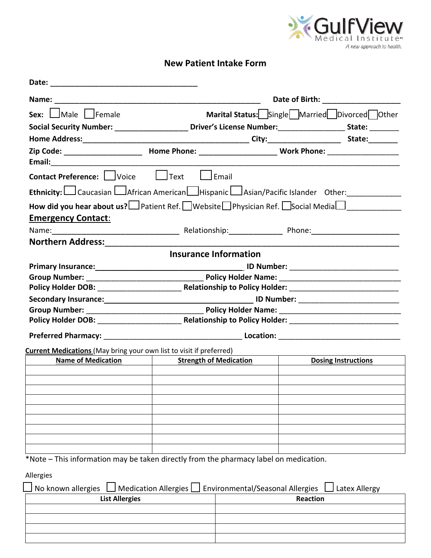

## **New Patient Intake Form**

| Sex: $\Box$ Male Female                                                                                     | Marital Status: Single Married Divorced Other                                                              |                                                         |                            |               |  |
|-------------------------------------------------------------------------------------------------------------|------------------------------------------------------------------------------------------------------------|---------------------------------------------------------|----------------------------|---------------|--|
|                                                                                                             | Social Security Number: ______________________Driver's License Number: ___________________State: _________ |                                                         |                            |               |  |
|                                                                                                             |                                                                                                            |                                                         |                            |               |  |
|                                                                                                             |                                                                                                            |                                                         |                            |               |  |
| <b>Contact Preference:</b> Voice Lotext Lemail                                                              |                                                                                                            |                                                         |                            |               |  |
| Ethnicity: Caucasian LAfrican American Hispanic LAsian/Pacific Islander Other:                              |                                                                                                            |                                                         |                            |               |  |
| How did you hear about us? IPatient Ref. Website Physician Ref. Social Media I<br><b>Emergency Contact:</b> |                                                                                                            |                                                         |                            |               |  |
|                                                                                                             |                                                                                                            |                                                         |                            |               |  |
|                                                                                                             |                                                                                                            |                                                         |                            |               |  |
|                                                                                                             | <b>Insurance Information</b>                                                                               |                                                         |                            |               |  |
|                                                                                                             |                                                                                                            |                                                         |                            |               |  |
|                                                                                                             |                                                                                                            |                                                         |                            |               |  |
|                                                                                                             |                                                                                                            |                                                         |                            |               |  |
|                                                                                                             |                                                                                                            |                                                         |                            |               |  |
|                                                                                                             |                                                                                                            |                                                         |                            |               |  |
|                                                                                                             |                                                                                                            |                                                         |                            |               |  |
|                                                                                                             |                                                                                                            |                                                         |                            |               |  |
| <b>Current Medications</b> (May bring your own list to visit if preferred)                                  |                                                                                                            |                                                         |                            |               |  |
| <b>Name of Medication</b>                                                                                   |                                                                                                            | <b>Strength of Medication</b>                           | <b>Dosing Instructions</b> |               |  |
|                                                                                                             |                                                                                                            |                                                         |                            |               |  |
|                                                                                                             |                                                                                                            |                                                         |                            |               |  |
|                                                                                                             |                                                                                                            |                                                         |                            |               |  |
|                                                                                                             |                                                                                                            |                                                         |                            |               |  |
|                                                                                                             |                                                                                                            |                                                         |                            |               |  |
|                                                                                                             |                                                                                                            |                                                         |                            |               |  |
|                                                                                                             |                                                                                                            |                                                         |                            |               |  |
| *Note – This information may be taken directly from the pharmacy label on medication.                       |                                                                                                            |                                                         |                            |               |  |
|                                                                                                             |                                                                                                            |                                                         |                            |               |  |
| <b>Allergies</b>                                                                                            |                                                                                                            |                                                         |                            |               |  |
| No known allergies                                                                                          |                                                                                                            | Medication Allergies   Environmental/Seasonal Allergies |                            | Latex Allergy |  |
| <b>List Allergies</b>                                                                                       |                                                                                                            |                                                         | <b>Reaction</b>            |               |  |
|                                                                                                             |                                                                                                            |                                                         |                            |               |  |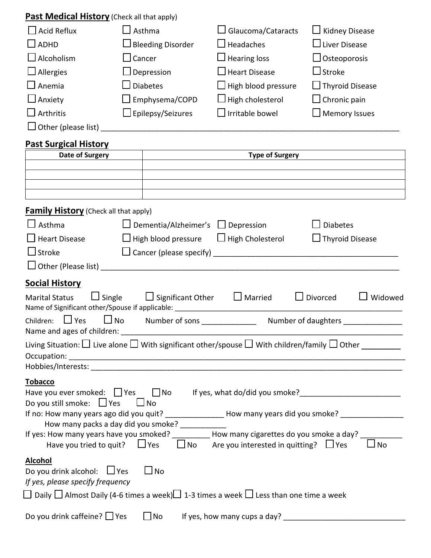## **Past Medical History** (Check all that apply)

| $\Box$ Acid Reflux         | $\Box$ Asthma               | $\Box$ Glaucoma/Cataracts  | $\Box$ Kidney Disease  |
|----------------------------|-----------------------------|----------------------------|------------------------|
| $\Box$ ADHD                | $\square$ Bleeding Disorder | $\Box$ Headaches           | $\Box$ Liver Disease   |
| $\Box$ Alcoholism          | $\Box$ Cancer               | $\Box$ Hearing loss        | $\Box$ Osteoporosis    |
| $\Box$ Allergies           | $\square$ Depression        | $\Box$ Heart Disease       | $\Box$ Stroke          |
| $\Box$ Anemia              | $\Box$ Diabetes             | $\Box$ High blood pressure | $\Box$ Thyroid Disease |
| $\Box$ Anxiety             | $\square$ Emphysema/COPD    | $\Box$ High cholesterol    | $\Box$ Chronic pain    |
| $\Box$ Arthritis           | $\Box$ Epilepsy/Seizures    | $\Box$ Irritable bowel     | $\Box$ Memory Issues   |
| $\Box$ Other (please list) |                             |                            |                        |

## **Past Surgical History**

| Date of Surgery<br><b>Type of Surgery</b>                                                                                                                                                                                                  |                                                                          |                              |                        |                |
|--------------------------------------------------------------------------------------------------------------------------------------------------------------------------------------------------------------------------------------------|--------------------------------------------------------------------------|------------------------------|------------------------|----------------|
|                                                                                                                                                                                                                                            |                                                                          |                              |                        |                |
|                                                                                                                                                                                                                                            |                                                                          |                              |                        |                |
|                                                                                                                                                                                                                                            |                                                                          |                              |                        |                |
| <b>Family History</b> (Check all that apply)                                                                                                                                                                                               |                                                                          |                              |                        |                |
| $\Box$ Asthma                                                                                                                                                                                                                              | $\Box$ Dementia/Alzheimer's $\Box$ Depression                            |                              | <b>Diabetes</b>        |                |
| $\Box$ Heart Disease                                                                                                                                                                                                                       | $\Box$ High blood pressure $\Box$ High Cholesterol                       |                              | $\Box$ Thyroid Disease |                |
| $\Box$ Stroke                                                                                                                                                                                                                              |                                                                          |                              |                        |                |
|                                                                                                                                                                                                                                            |                                                                          |                              |                        |                |
| <b>Social History</b>                                                                                                                                                                                                                      |                                                                          |                              |                        |                |
| Marital Status $\Box$ Single $\Box$ Significant Other $\Box$ Married                                                                                                                                                                       |                                                                          |                              | $\Box$ Divorced        | $\Box$ Widowed |
| $\Box$ Yes<br>Children:                                                                                                                                                                                                                    | □ No Number of sons ________________ Number of daughters _______________ |                              |                        |                |
| Living Situation: $\Box$ Live alone $\Box$ With significant other/spouse $\Box$ With children/family $\Box$ Other                                                                                                                          |                                                                          |                              |                        |                |
| <b>Tobacco</b><br>Have you ever smoked: T Yes T No If yes, what do/did you smoke?<br>Do you still smoke: $\Box$ Yes<br>— ∐ No<br>If no: How many years ago did you quit? __________________ How many years did you smoke? ________________ |                                                                          |                              |                        |                |
| How many packs a day did you smoke? _________<br>If yes: How many years have you smoked? __________ How many cigarettes do you smoke a day? __<br>Have you tried to quit? $\Box$ Yes $\Box$ No Are you interested in quitting? $\Box$ Yes  |                                                                          |                              |                        | <b>No</b>      |
| <b>Alcohol</b><br>Do you drink alcohol: $\Box$ Yes<br>If yes, please specify frequency<br>$□$ Daily $□$ Almost Daily (4-6 times a week) $□$ 1-3 times a week $□$ Less than one time a week                                                 | 」No                                                                      |                              |                        |                |
| Do you drink caffeine? $\Box$ Yes                                                                                                                                                                                                          | $\Box$ No                                                                | If yes, how many cups a day? |                        |                |